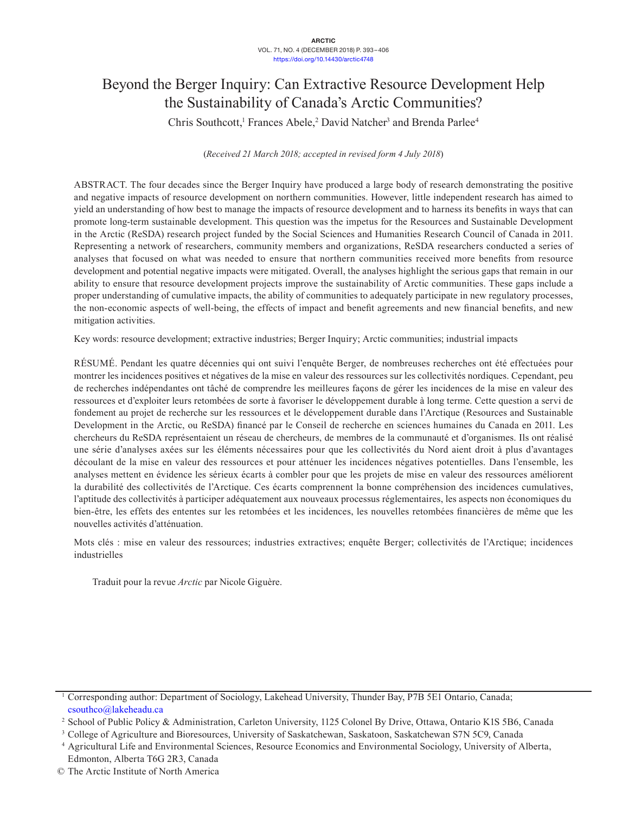# Beyond the Berger Inquiry: Can Extractive Resource Development Help the Sustainability of Canada's Arctic Communities?

Chris Southcott,<sup>1</sup> Frances Abele,<sup>2</sup> David Natcher<sup>3</sup> and Brenda Parlee<sup>4</sup>

(*Received 21 March 2018; accepted in revised form 4 July 2018*)

ABSTRACT. The four decades since the Berger Inquiry have produced a large body of research demonstrating the positive and negative impacts of resource development on northern communities. However, little independent research has aimed to yield an understanding of how best to manage the impacts of resource development and to harness its benefits in ways that can promote long-term sustainable development. This question was the impetus for the Resources and Sustainable Development in the Arctic (ReSDA) research project funded by the Social Sciences and Humanities Research Council of Canada in 2011. Representing a network of researchers, community members and organizations, ReSDA researchers conducted a series of analyses that focused on what was needed to ensure that northern communities received more benefits from resource development and potential negative impacts were mitigated. Overall, the analyses highlight the serious gaps that remain in our ability to ensure that resource development projects improve the sustainability of Arctic communities. These gaps include a proper understanding of cumulative impacts, the ability of communities to adequately participate in new regulatory processes, the non-economic aspects of well-being, the effects of impact and benefit agreements and new financial benefits, and new mitigation activities.

Key words: resource development; extractive industries; Berger Inquiry; Arctic communities; industrial impacts

RÉSUMÉ. Pendant les quatre décennies qui ont suivi l'enquête Berger, de nombreuses recherches ont été effectuées pour montrer les incidences positives et négatives de la mise en valeur des ressources sur les collectivités nordiques. Cependant, peu de recherches indépendantes ont tâché de comprendre les meilleures façons de gérer les incidences de la mise en valeur des ressources et d'exploiter leurs retombées de sorte à favoriser le développement durable à long terme. Cette question a servi de fondement au projet de recherche sur les ressources et le développement durable dans l'Arctique (Resources and Sustainable Development in the Arctic, ou ReSDA) financé par le Conseil de recherche en sciences humaines du Canada en 2011. Les chercheurs du ReSDA représentaient un réseau de chercheurs, de membres de la communauté et d'organismes. Ils ont réalisé une série d'analyses axées sur les éléments nécessaires pour que les collectivités du Nord aient droit à plus d'avantages découlant de la mise en valeur des ressources et pour atténuer les incidences négatives potentielles. Dans l'ensemble, les analyses mettent en évidence les sérieux écarts à combler pour que les projets de mise en valeur des ressources améliorent la durabilité des collectivités de l'Arctique. Ces écarts comprennent la bonne compréhension des incidences cumulatives, l'aptitude des collectivités à participer adéquatement aux nouveaux processus réglementaires, les aspects non économiques du bien-être, les effets des ententes sur les retombées et les incidences, les nouvelles retombées financières de même que les nouvelles activités d'atténuation.

Mots clés : mise en valeur des ressources; industries extractives; enquête Berger; collectivités de l'Arctique; incidences industrielles

Traduit pour la revue *Arctic* par Nicole Giguère.

<sup>1</sup> Corresponding author: Department of Sociology, Lakehead University, Thunder Bay, P7B 5E1 Ontario, Canada; [csouthco@lakeheadu.ca](mailto:csouthco@lakeheadu.ca)

<sup>2</sup> School of Public Policy & Administration, Carleton University, 1125 Colonel By Drive, Ottawa, Ontario K1S 5B6, Canada

<sup>3</sup> College of Agriculture and Bioresources, University of Saskatchewan, Saskatoon, Saskatchewan S7N 5C9, Canada

<sup>4</sup> Agricultural Life and Environmental Sciences, Resource Economics and Environmental Sociology, University of Alberta, Edmonton, Alberta T6G 2R3, Canada

<sup>©</sup> The Arctic Institute of North America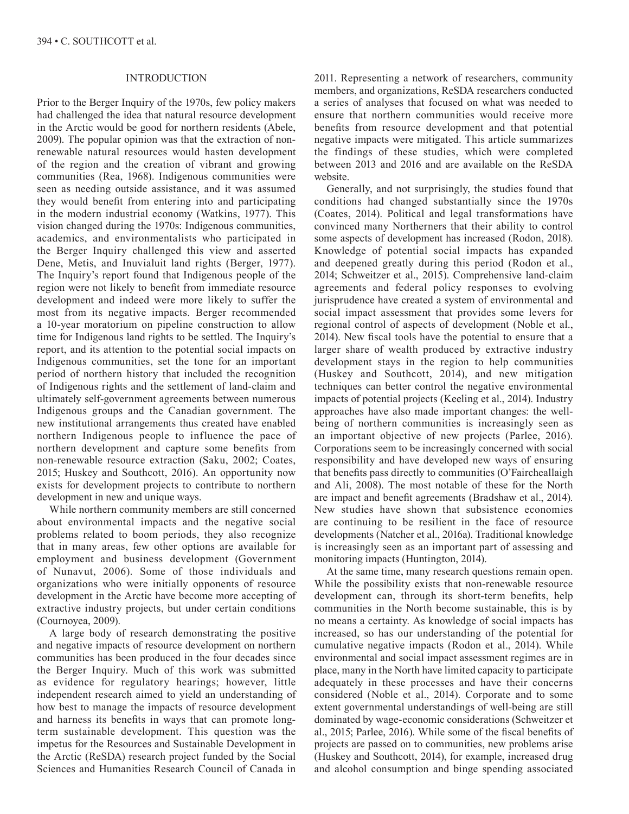### INTRODUCTION

Prior to the Berger Inquiry of the 1970s, few policy makers had challenged the idea that natural resource development in the Arctic would be good for northern residents (Abele, 2009). The popular opinion was that the extraction of nonrenewable natural resources would hasten development of the region and the creation of vibrant and growing communities (Rea, 1968). Indigenous communities were seen as needing outside assistance, and it was assumed they would benefit from entering into and participating in the modern industrial economy (Watkins, 1977). This vision changed during the 1970s: Indigenous communities, academics, and environmentalists who participated in the Berger Inquiry challenged this view and asserted Dene, Metis, and Inuvialuit land rights (Berger, 1977). The Inquiry's report found that Indigenous people of the region were not likely to benefit from immediate resource development and indeed were more likely to suffer the most from its negative impacts. Berger recommended a 10-year moratorium on pipeline construction to allow time for Indigenous land rights to be settled. The Inquiry's report, and its attention to the potential social impacts on Indigenous communities, set the tone for an important period of northern history that included the recognition of Indigenous rights and the settlement of land-claim and ultimately self-government agreements between numerous Indigenous groups and the Canadian government. The new institutional arrangements thus created have enabled northern Indigenous people to influence the pace of northern development and capture some benefits from non-renewable resource extraction (Saku, 2002; Coates, 2015; Huskey and Southcott, 2016). An opportunity now exists for development projects to contribute to northern development in new and unique ways.

While northern community members are still concerned about environmental impacts and the negative social problems related to boom periods, they also recognize that in many areas, few other options are available for employment and business development (Government of Nunavut, 2006). Some of those individuals and organizations who were initially opponents of resource development in the Arctic have become more accepting of extractive industry projects, but under certain conditions (Cournoyea, 2009).

A large body of research demonstrating the positive and negative impacts of resource development on northern communities has been produced in the four decades since the Berger Inquiry. Much of this work was submitted as evidence for regulatory hearings; however, little independent research aimed to yield an understanding of how best to manage the impacts of resource development and harness its benefits in ways that can promote longterm sustainable development. This question was the impetus for the Resources and Sustainable Development in the Arctic (ReSDA) research project funded by the Social Sciences and Humanities Research Council of Canada in

2011. Representing a network of researchers, community members, and organizations, ReSDA researchers conducted a series of analyses that focused on what was needed to ensure that northern communities would receive more benefits from resource development and that potential negative impacts were mitigated. This article summarizes the findings of these studies, which were completed between 2013 and 2016 and are available on the ReSDA website.

Generally, and not surprisingly, the studies found that conditions had changed substantially since the 1970s (Coates, 2014). Political and legal transformations have convinced many Northerners that their ability to control some aspects of development has increased (Rodon, 2018). Knowledge of potential social impacts has expanded and deepened greatly during this period (Rodon et al., 2014; Schweitzer et al., 2015). Comprehensive land-claim agreements and federal policy responses to evolving jurisprudence have created a system of environmental and social impact assessment that provides some levers for regional control of aspects of development (Noble et al., 2014). New fiscal tools have the potential to ensure that a larger share of wealth produced by extractive industry development stays in the region to help communities (Huskey and Southcott, 2014), and new mitigation techniques can better control the negative environmental impacts of potential projects (Keeling et al., 2014). Industry approaches have also made important changes: the wellbeing of northern communities is increasingly seen as an important objective of new projects (Parlee, 2016). Corporations seem to be increasingly concerned with social responsibility and have developed new ways of ensuring that benefits pass directly to communities (O'Faircheallaigh and Ali, 2008). The most notable of these for the North are impact and benefit agreements (Bradshaw et al., 2014). New studies have shown that subsistence economies are continuing to be resilient in the face of resource developments (Natcher et al., 2016a). Traditional knowledge is increasingly seen as an important part of assessing and monitoring impacts (Huntington, 2014).

At the same time, many research questions remain open. While the possibility exists that non-renewable resource development can, through its short-term benefits, help communities in the North become sustainable, this is by no means a certainty. As knowledge of social impacts has increased, so has our understanding of the potential for cumulative negative impacts (Rodon et al., 2014). While environmental and social impact assessment regimes are in place, many in the North have limited capacity to participate adequately in these processes and have their concerns considered (Noble et al., 2014). Corporate and to some extent governmental understandings of well-being are still dominated by wage-economic considerations (Schweitzer et al., 2015; Parlee, 2016). While some of the fiscal benefits of projects are passed on to communities, new problems arise (Huskey and Southcott, 2014), for example, increased drug and alcohol consumption and binge spending associated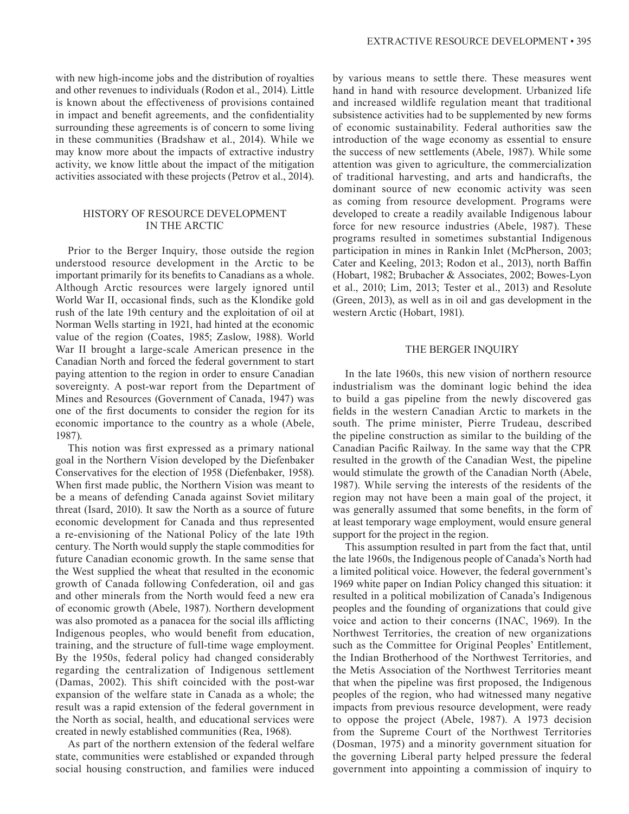with new high-income jobs and the distribution of royalties and other revenues to individuals (Rodon et al., 2014). Little is known about the effectiveness of provisions contained in impact and benefit agreements, and the confidentiality surrounding these agreements is of concern to some living in these communities (Bradshaw et al., 2014). While we may know more about the impacts of extractive industry activity, we know little about the impact of the mitigation activities associated with these projects (Petrov et al., 2014).

#### HISTORY OF RESOURCE DEVELOPMENT IN THE ARCTIC

Prior to the Berger Inquiry, those outside the region understood resource development in the Arctic to be important primarily for its benefits to Canadians as a whole. Although Arctic resources were largely ignored until World War II, occasional finds, such as the Klondike gold rush of the late 19th century and the exploitation of oil at Norman Wells starting in 1921, had hinted at the economic value of the region (Coates, 1985; Zaslow, 1988). World War II brought a large-scale American presence in the Canadian North and forced the federal government to start paying attention to the region in order to ensure Canadian sovereignty. A post-war report from the Department of Mines and Resources (Government of Canada, 1947) was one of the first documents to consider the region for its economic importance to the country as a whole (Abele, 1987).

This notion was first expressed as a primary national goal in the Northern Vision developed by the Diefenbaker Conservatives for the election of 1958 (Diefenbaker, 1958). When first made public, the Northern Vision was meant to be a means of defending Canada against Soviet military threat (Isard, 2010). It saw the North as a source of future economic development for Canada and thus represented a re-envisioning of the National Policy of the late 19th century. The North would supply the staple commodities for future Canadian economic growth. In the same sense that the West supplied the wheat that resulted in the economic growth of Canada following Confederation, oil and gas and other minerals from the North would feed a new era of economic growth (Abele, 1987). Northern development was also promoted as a panacea for the social ills afflicting Indigenous peoples, who would benefit from education, training, and the structure of full-time wage employment. By the 1950s, federal policy had changed considerably regarding the centralization of Indigenous settlement (Damas, 2002). This shift coincided with the post-war expansion of the welfare state in Canada as a whole; the result was a rapid extension of the federal government in the North as social, health, and educational services were created in newly established communities (Rea, 1968).

As part of the northern extension of the federal welfare state, communities were established or expanded through social housing construction, and families were induced

by various means to settle there. These measures went hand in hand with resource development. Urbanized life and increased wildlife regulation meant that traditional subsistence activities had to be supplemented by new forms of economic sustainability. Federal authorities saw the introduction of the wage economy as essential to ensure the success of new settlements (Abele, 1987). While some attention was given to agriculture, the commercialization of traditional harvesting, and arts and handicrafts, the dominant source of new economic activity was seen as coming from resource development. Programs were developed to create a readily available Indigenous labour force for new resource industries (Abele, 1987). These programs resulted in sometimes substantial Indigenous participation in mines in Rankin Inlet (McPherson, 2003; Cater and Keeling, 2013; Rodon et al., 2013), north Baffin (Hobart, 1982; Brubacher & Associates, 2002; Bowes-Lyon et al., 2010; Lim, 2013; Tester et al., 2013) and Resolute (Green, 2013), as well as in oil and gas development in the western Arctic (Hobart, 1981).

#### THE BERGER INQUIRY

In the late 1960s, this new vision of northern resource industrialism was the dominant logic behind the idea to build a gas pipeline from the newly discovered gas fields in the western Canadian Arctic to markets in the south. The prime minister, Pierre Trudeau, described the pipeline construction as similar to the building of the Canadian Pacific Railway. In the same way that the CPR resulted in the growth of the Canadian West, the pipeline would stimulate the growth of the Canadian North (Abele, 1987). While serving the interests of the residents of the region may not have been a main goal of the project, it was generally assumed that some benefits, in the form of at least temporary wage employment, would ensure general support for the project in the region.

This assumption resulted in part from the fact that, until the late 1960s, the Indigenous people of Canada's North had a limited political voice. However, the federal government's 1969 white paper on Indian Policy changed this situation: it resulted in a political mobilization of Canada's Indigenous peoples and the founding of organizations that could give voice and action to their concerns (INAC, 1969). In the Northwest Territories, the creation of new organizations such as the Committee for Original Peoples' Entitlement, the Indian Brotherhood of the Northwest Territories, and the Metis Association of the Northwest Territories meant that when the pipeline was first proposed, the Indigenous peoples of the region, who had witnessed many negative impacts from previous resource development, were ready to oppose the project (Abele, 1987). A 1973 decision from the Supreme Court of the Northwest Territories (Dosman, 1975) and a minority government situation for the governing Liberal party helped pressure the federal government into appointing a commission of inquiry to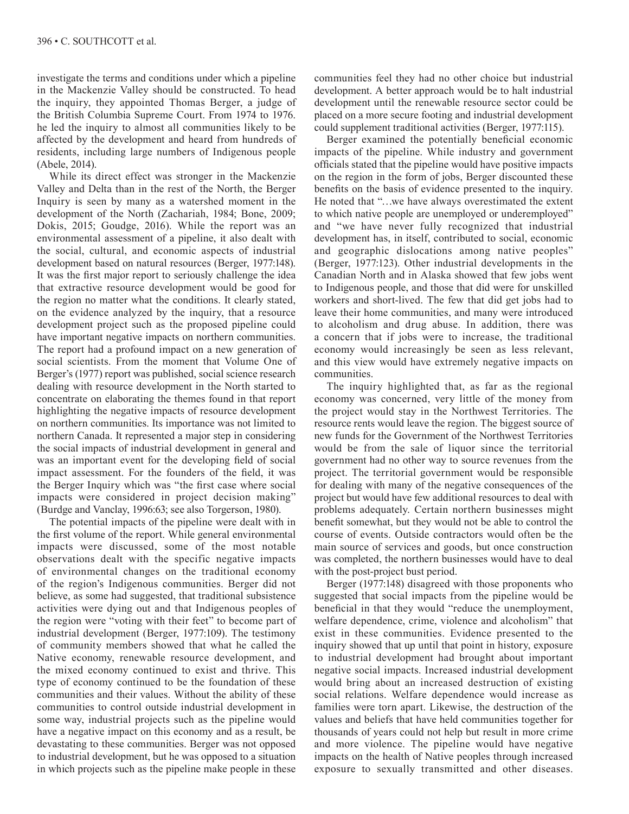investigate the terms and conditions under which a pipeline in the Mackenzie Valley should be constructed. To head the inquiry, they appointed Thomas Berger, a judge of the British Columbia Supreme Court. From 1974 to 1976. he led the inquiry to almost all communities likely to be affected by the development and heard from hundreds of residents, including large numbers of Indigenous people (Abele, 2014).

While its direct effect was stronger in the Mackenzie Valley and Delta than in the rest of the North, the Berger Inquiry is seen by many as a watershed moment in the development of the North (Zachariah, 1984; Bone, 2009; Dokis, 2015; Goudge, 2016). While the report was an environmental assessment of a pipeline, it also dealt with the social, cultural, and economic aspects of industrial development based on natural resources (Berger, 1977:148). It was the first major report to seriously challenge the idea that extractive resource development would be good for the region no matter what the conditions. It clearly stated, on the evidence analyzed by the inquiry, that a resource development project such as the proposed pipeline could have important negative impacts on northern communities. The report had a profound impact on a new generation of social scientists. From the moment that Volume One of Berger's (1977) report was published, social science research dealing with resource development in the North started to concentrate on elaborating the themes found in that report highlighting the negative impacts of resource development on northern communities. Its importance was not limited to northern Canada. It represented a major step in considering the social impacts of industrial development in general and was an important event for the developing field of social impact assessment. For the founders of the field, it was the Berger Inquiry which was "the first case where social impacts were considered in project decision making" (Burdge and Vanclay, 1996:63; see also Torgerson, 1980).

The potential impacts of the pipeline were dealt with in the first volume of the report. While general environmental impacts were discussed, some of the most notable observations dealt with the specific negative impacts of environmental changes on the traditional economy of the region's Indigenous communities. Berger did not believe, as some had suggested, that traditional subsistence activities were dying out and that Indigenous peoples of the region were "voting with their feet" to become part of industrial development (Berger, 1977:109). The testimony of community members showed that what he called the Native economy, renewable resource development, and the mixed economy continued to exist and thrive. This type of economy continued to be the foundation of these communities and their values. Without the ability of these communities to control outside industrial development in some way, industrial projects such as the pipeline would have a negative impact on this economy and as a result, be devastating to these communities. Berger was not opposed to industrial development, but he was opposed to a situation in which projects such as the pipeline make people in these

communities feel they had no other choice but industrial development. A better approach would be to halt industrial development until the renewable resource sector could be placed on a more secure footing and industrial development could supplement traditional activities (Berger, 1977:115).

Berger examined the potentially beneficial economic impacts of the pipeline. While industry and government officials stated that the pipeline would have positive impacts on the region in the form of jobs, Berger discounted these benefits on the basis of evidence presented to the inquiry. He noted that "…we have always overestimated the extent to which native people are unemployed or underemployed" and "we have never fully recognized that industrial development has, in itself, contributed to social, economic and geographic dislocations among native peoples" (Berger, 1977:123). Other industrial developments in the Canadian North and in Alaska showed that few jobs went to Indigenous people, and those that did were for unskilled workers and short-lived. The few that did get jobs had to leave their home communities, and many were introduced to alcoholism and drug abuse. In addition, there was a concern that if jobs were to increase, the traditional economy would increasingly be seen as less relevant, and this view would have extremely negative impacts on communities.

The inquiry highlighted that, as far as the regional economy was concerned, very little of the money from the project would stay in the Northwest Territories. The resource rents would leave the region. The biggest source of new funds for the Government of the Northwest Territories would be from the sale of liquor since the territorial government had no other way to source revenues from the project. The territorial government would be responsible for dealing with many of the negative consequences of the project but would have few additional resources to deal with problems adequately. Certain northern businesses might benefit somewhat, but they would not be able to control the course of events. Outside contractors would often be the main source of services and goods, but once construction was completed, the northern businesses would have to deal with the post-project bust period.

Berger (1977:148) disagreed with those proponents who suggested that social impacts from the pipeline would be beneficial in that they would "reduce the unemployment, welfare dependence, crime, violence and alcoholism" that exist in these communities. Evidence presented to the inquiry showed that up until that point in history, exposure to industrial development had brought about important negative social impacts. Increased industrial development would bring about an increased destruction of existing social relations. Welfare dependence would increase as families were torn apart. Likewise, the destruction of the values and beliefs that have held communities together for thousands of years could not help but result in more crime and more violence. The pipeline would have negative impacts on the health of Native peoples through increased exposure to sexually transmitted and other diseases.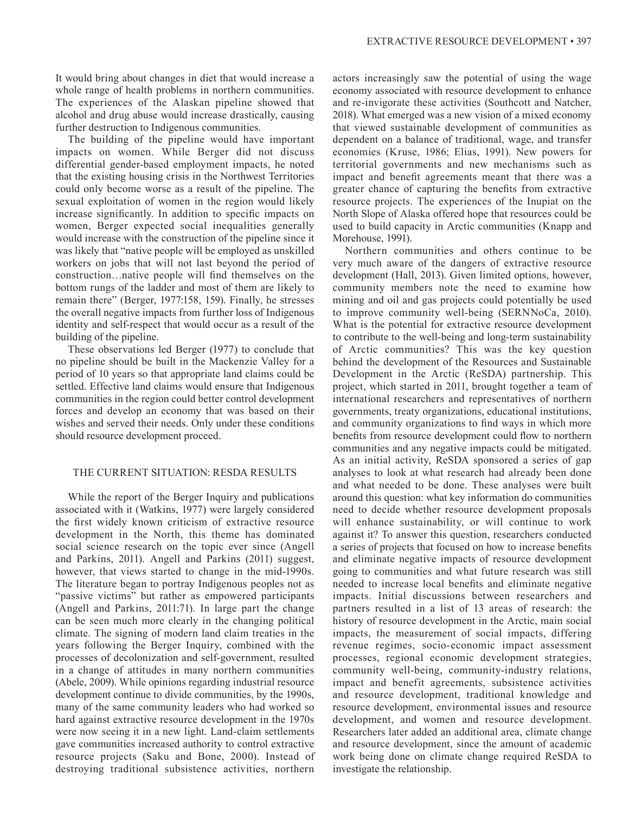It would bring about changes in diet that would increase a whole range of health problems in northern communities. The experiences of the Alaskan pipeline showed that alcohol and drug abuse would increase drastically, causing further destruction to Indigenous communities.

The building of the pipeline would have important impacts on women. While Berger did not discuss differential gender-based employment impacts, he noted that the existing housing crisis in the Northwest Territories could only become worse as a result of the pipeline. The sexual exploitation of women in the region would likely increase significantly. In addition to specific impacts on women, Berger expected social inequalities generally would increase with the construction of the pipeline since it was likely that "native people will be employed as unskilled workers on jobs that will not last beyond the period of construction…native people will find themselves on the bottom rungs of the ladder and most of them are likely to remain there" (Berger, 1977:158, 159). Finally, he stresses the overall negative impacts from further loss of Indigenous identity and self-respect that would occur as a result of the building of the pipeline.

These observations led Berger (1977) to conclude that no pipeline should be built in the Mackenzie Valley for a period of 10 years so that appropriate land claims could be settled. Effective land claims would ensure that Indigenous communities in the region could better control development forces and develop an economy that was based on their wishes and served their needs. Only under these conditions should resource development proceed.

### THE CURRENT SITUATION: RESDA RESULTS

While the report of the Berger Inquiry and publications associated with it (Watkins, 1977) were largely considered the first widely known criticism of extractive resource development in the North, this theme has dominated social science research on the topic ever since (Angell and Parkins, 2011). Angell and Parkins (2011) suggest, however, that views started to change in the mid-1990s. The literature began to portray Indigenous peoples not as "passive victims" but rather as empowered participants (Angell and Parkins, 2011:71). In large part the change can be seen much more clearly in the changing political climate. The signing of modern land claim treaties in the years following the Berger Inquiry, combined with the processes of decolonization and self-government, resulted in a change of attitudes in many northern communities (Abele, 2009). While opinions regarding industrial resource development continue to divide communities, by the 1990s, many of the same community leaders who had worked so hard against extractive resource development in the 1970s were now seeing it in a new light. Land-claim settlements gave communities increased authority to control extractive resource projects (Saku and Bone, 2000). Instead of destroying traditional subsistence activities, northern

actors increasingly saw the potential of using the wage economy associated with resource development to enhance and re-invigorate these activities (Southcott and Natcher, 2018). What emerged was a new vision of a mixed economy that viewed sustainable development of communities as dependent on a balance of traditional, wage, and transfer economies (Kruse, 1986; Elias, 1991). New powers for territorial governments and new mechanisms such as impact and benefit agreements meant that there was a greater chance of capturing the benefits from extractive resource projects. The experiences of the Inupiat on the North Slope of Alaska offered hope that resources could be used to build capacity in Arctic communities (Knapp and Morehouse, 1991).

Northern communities and others continue to be very much aware of the dangers of extractive resource development (Hall, 2013). Given limited options, however, community members note the need to examine how mining and oil and gas projects could potentially be used to improve community well-being (SERNNoCa, 2010). What is the potential for extractive resource development to contribute to the well-being and long-term sustainability of Arctic communities? This was the key question behind the development of the Resources and Sustainable Development in the Arctic (ReSDA) partnership. This project, which started in 2011, brought together a team of international researchers and representatives of northern governments, treaty organizations, educational institutions, and community organizations to find ways in which more benefits from resource development could flow to northern communities and any negative impacts could be mitigated. As an initial activity, ReSDA sponsored a series of gap analyses to look at what research had already been done and what needed to be done. These analyses were built around this question: what key information do communities need to decide whether resource development proposals will enhance sustainability, or will continue to work against it? To answer this question, researchers conducted a series of projects that focused on how to increase benefits and eliminate negative impacts of resource development going to communities and what future research was still needed to increase local benefits and eliminate negative impacts. Initial discussions between researchers and partners resulted in a list of 13 areas of research: the history of resource development in the Arctic, main social impacts, the measurement of social impacts, differing revenue regimes, socio-economic impact assessment processes, regional economic development strategies, community well-being, community-industry relations, impact and benefit agreements, subsistence activities and resource development, traditional knowledge and resource development, environmental issues and resource development, and women and resource development. Researchers later added an additional area, climate change and resource development, since the amount of academic work being done on climate change required ReSDA to investigate the relationship.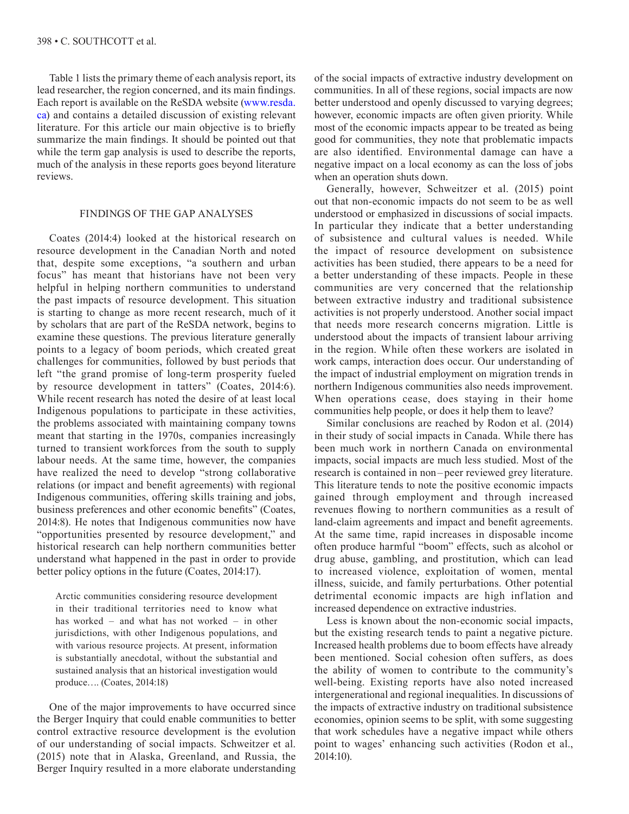Table 1 lists the primary theme of each analysis report, its lead researcher, the region concerned, and its main findings. Each report is available on the ReSDA website [\(www.resda.](http://www.resda.ca) [ca\) an](http://www.resda.ca)d contains a detailed discussion of existing relevant literature. For this article our main objective is to briefly summarize the main findings. It should be pointed out that while the term gap analysis is used to describe the reports, much of the analysis in these reports goes beyond literature reviews.

### FINDINGS OF THE GAP ANALYSES

Coates (2014:4) looked at the historical research on resource development in the Canadian North and noted that, despite some exceptions, "a southern and urban focus" has meant that historians have not been very helpful in helping northern communities to understand the past impacts of resource development. This situation is starting to change as more recent research, much of it by scholars that are part of the ReSDA network, begins to examine these questions. The previous literature generally points to a legacy of boom periods, which created great challenges for communities, followed by bust periods that left "the grand promise of long-term prosperity fueled by resource development in tatters" (Coates, 2014:6). While recent research has noted the desire of at least local Indigenous populations to participate in these activities, the problems associated with maintaining company towns meant that starting in the 1970s, companies increasingly turned to transient workforces from the south to supply labour needs. At the same time, however, the companies have realized the need to develop "strong collaborative relations (or impact and benefit agreements) with regional Indigenous communities, offering skills training and jobs, business preferences and other economic benefits" (Coates, 2014:8). He notes that Indigenous communities now have "opportunities presented by resource development," and historical research can help northern communities better understand what happened in the past in order to provide better policy options in the future (Coates, 2014:17).

Arctic communities considering resource development in their traditional territories need to know what has worked – and what has not worked – in other jurisdictions, with other Indigenous populations, and with various resource projects. At present, information is substantially anecdotal, without the substantial and sustained analysis that an historical investigation would produce…. (Coates, 2014:18)

One of the major improvements to have occurred since the Berger Inquiry that could enable communities to better control extractive resource development is the evolution of our understanding of social impacts. Schweitzer et al. (2015) note that in Alaska, Greenland, and Russia, the Berger Inquiry resulted in a more elaborate understanding of the social impacts of extractive industry development on communities. In all of these regions, social impacts are now better understood and openly discussed to varying degrees; however, economic impacts are often given priority. While most of the economic impacts appear to be treated as being good for communities, they note that problematic impacts are also identified. Environmental damage can have a negative impact on a local economy as can the loss of jobs when an operation shuts down.

Generally, however, Schweitzer et al. (2015) point out that non-economic impacts do not seem to be as well understood or emphasized in discussions of social impacts. In particular they indicate that a better understanding of subsistence and cultural values is needed. While the impact of resource development on subsistence activities has been studied, there appears to be a need for a better understanding of these impacts. People in these communities are very concerned that the relationship between extractive industry and traditional subsistence activities is not properly understood. Another social impact that needs more research concerns migration. Little is understood about the impacts of transient labour arriving in the region. While often these workers are isolated in work camps, interaction does occur. Our understanding of the impact of industrial employment on migration trends in northern Indigenous communities also needs improvement. When operations cease, does staying in their home communities help people, or does it help them to leave?

Similar conclusions are reached by Rodon et al. (2014) in their study of social impacts in Canada. While there has been much work in northern Canada on environmental impacts, social impacts are much less studied. Most of the research is contained in non –peer reviewed grey literature. This literature tends to note the positive economic impacts gained through employment and through increased revenues flowing to northern communities as a result of land-claim agreements and impact and benefit agreements. At the same time, rapid increases in disposable income often produce harmful "boom" effects, such as alcohol or drug abuse, gambling, and prostitution, which can lead to increased violence, exploitation of women, mental illness, suicide, and family perturbations. Other potential detrimental economic impacts are high inflation and increased dependence on extractive industries.

Less is known about the non-economic social impacts, but the existing research tends to paint a negative picture. Increased health problems due to boom effects have already been mentioned. Social cohesion often suffers, as does the ability of women to contribute to the community's well-being. Existing reports have also noted increased intergenerational and regional inequalities. In discussions of the impacts of extractive industry on traditional subsistence economies, opinion seems to be split, with some suggesting that work schedules have a negative impact while others point to wages' enhancing such activities (Rodon et al., 2014:10).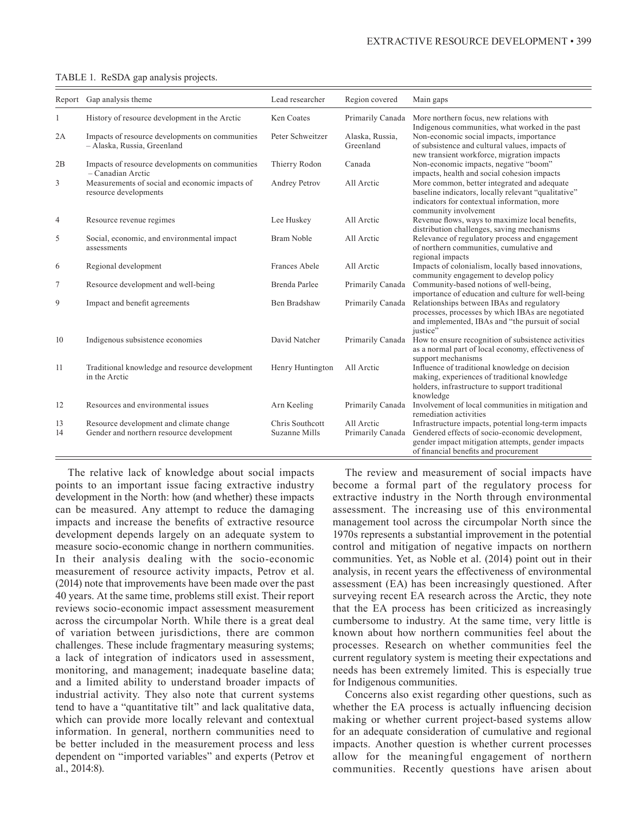|          | Report Gap analysis theme                                                           | Lead researcher                  | Region covered                 | Main gaps                                                                                                                                                                                            |
|----------|-------------------------------------------------------------------------------------|----------------------------------|--------------------------------|------------------------------------------------------------------------------------------------------------------------------------------------------------------------------------------------------|
| 1        | History of resource development in the Arctic                                       | Ken Coates                       | Primarily Canada               | More northern focus, new relations with                                                                                                                                                              |
| 2A       | Impacts of resource developments on communities<br>- Alaska, Russia, Greenland      | Peter Schweitzer                 | Alaska, Russia,<br>Greenland   | Indigenous communities, what worked in the past<br>Non-economic social impacts, importance<br>of subsistence and cultural values, impacts of<br>new transient workforce, migration impacts           |
| 2B       | Impacts of resource developments on communities<br>- Canadian Arctic                | Thierry Rodon                    | Canada                         | Non-economic impacts, negative "boom"<br>impacts, health and social cohesion impacts                                                                                                                 |
| 3        | Measurements of social and economic impacts of<br>resource developments             | Andrey Petrov                    | All Arctic                     | More common, better integrated and adequate<br>baseline indicators, locally relevant "qualitative"<br>indicators for contextual information, more<br>community involvement                           |
| 4        | Resource revenue regimes                                                            | Lee Huskey                       | All Arctic                     | Revenue flows, ways to maximize local benefits,<br>distribution challenges, saving mechanisms                                                                                                        |
| 5        | Social, economic, and environmental impact<br>assessments                           | <b>Bram Noble</b>                | All Arctic                     | Relevance of regulatory process and engagement<br>of northern communities, cumulative and<br>regional impacts                                                                                        |
| 6        | Regional development                                                                | Frances Abele                    | All Arctic                     | Impacts of colonialism, locally based innovations,<br>community engagement to develop policy                                                                                                         |
| 7        | Resource development and well-being                                                 | Brenda Parlee                    | Primarily Canada               | Community-based notions of well-being,<br>importance of education and culture for well-being                                                                                                         |
| 9        | Impact and benefit agreements                                                       | Ben Bradshaw                     | Primarily Canada               | Relationships between IBAs and regulatory<br>processes, processes by which IBAs are negotiated<br>and implemented, IBAs and "the pursuit of social<br>justice"                                       |
| 10       | Indigenous subsistence economies                                                    | David Natcher                    | Primarily Canada               | How to ensure recognition of subsistence activities<br>as a normal part of local economy, effectiveness of<br>support mechanisms                                                                     |
| 11       | Traditional knowledge and resource development<br>in the Arctic                     | Henry Huntington                 | All Arctic                     | Influence of traditional knowledge on decision<br>making, experiences of traditional knowledge<br>holders, infrastructure to support traditional<br>knowledge                                        |
| 12       | Resources and environmental issues                                                  | Arn Keeling                      | Primarily Canada               | Involvement of local communities in mitigation and<br>remediation activities                                                                                                                         |
| 13<br>14 | Resource development and climate change<br>Gender and northern resource development | Chris Southcott<br>Suzanne Mills | All Arctic<br>Primarily Canada | Infrastructure impacts, potential long-term impacts<br>Gendered effects of socio-economic development,<br>gender impact mitigation attempts, gender impacts<br>of financial benefits and procurement |

#### TABLE 1. ReSDA gap analysis projects.

The relative lack of knowledge about social impacts points to an important issue facing extractive industry development in the North: how (and whether) these impacts can be measured. Any attempt to reduce the damaging impacts and increase the benefits of extractive resource development depends largely on an adequate system to measure socio-economic change in northern communities. In their analysis dealing with the socio-economic measurement of resource activity impacts, Petrov et al. (2014) note that improvements have been made over the past 40 years. At the same time, problems still exist. Their report reviews socio-economic impact assessment measurement across the circumpolar North. While there is a great deal of variation between jurisdictions, there are common challenges. These include fragmentary measuring systems; a lack of integration of indicators used in assessment, monitoring, and management; inadequate baseline data; and a limited ability to understand broader impacts of industrial activity. They also note that current systems tend to have a "quantitative tilt" and lack qualitative data, which can provide more locally relevant and contextual information. In general, northern communities need to be better included in the measurement process and less dependent on "imported variables" and experts (Petrov et al., 2014:8).

The review and measurement of social impacts have become a formal part of the regulatory process for extractive industry in the North through environmental assessment. The increasing use of this environmental management tool across the circumpolar North since the 1970s represents a substantial improvement in the potential control and mitigation of negative impacts on northern communities. Yet, as Noble et al. (2014) point out in their analysis, in recent years the effectiveness of environmental assessment (EA) has been increasingly questioned. After surveying recent EA research across the Arctic, they note that the EA process has been criticized as increasingly cumbersome to industry. At the same time, very little is known about how northern communities feel about the processes. Research on whether communities feel the current regulatory system is meeting their expectations and needs has been extremely limited. This is especially true for Indigenous communities.

Concerns also exist regarding other questions, such as whether the EA process is actually influencing decision making or whether current project-based systems allow for an adequate consideration of cumulative and regional impacts. Another question is whether current processes allow for the meaningful engagement of northern communities. Recently questions have arisen about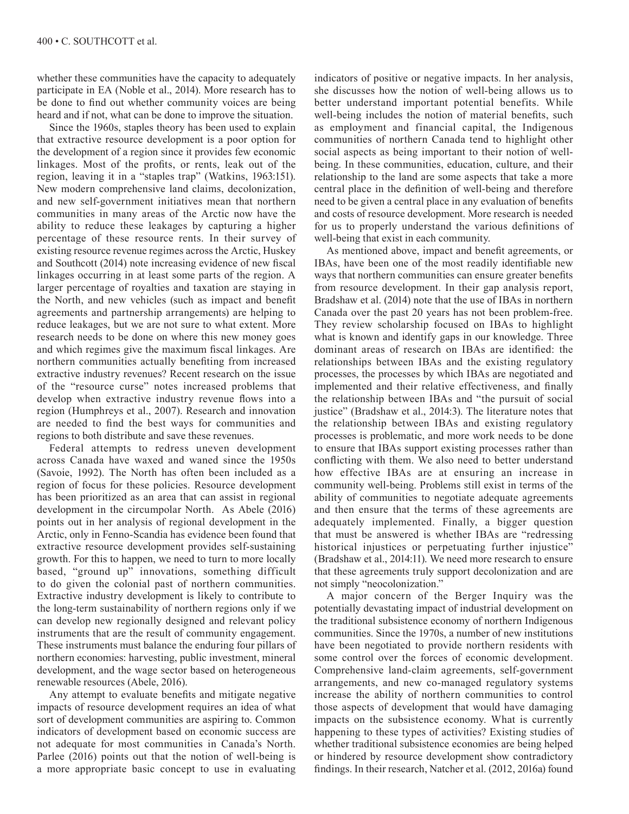whether these communities have the capacity to adequately participate in EA (Noble et al., 2014). More research has to be done to find out whether community voices are being heard and if not, what can be done to improve the situation.

Since the 1960s, staples theory has been used to explain that extractive resource development is a poor option for the development of a region since it provides few economic linkages. Most of the profits, or rents, leak out of the region, leaving it in a "staples trap" (Watkins, 1963:151). New modern comprehensive land claims, decolonization, and new self-government initiatives mean that northern communities in many areas of the Arctic now have the ability to reduce these leakages by capturing a higher percentage of these resource rents. In their survey of existing resource revenue regimes across the Arctic, Huskey and Southcott (2014) note increasing evidence of new fiscal linkages occurring in at least some parts of the region. A larger percentage of royalties and taxation are staying in the North, and new vehicles (such as impact and benefit agreements and partnership arrangements) are helping to reduce leakages, but we are not sure to what extent. More research needs to be done on where this new money goes and which regimes give the maximum fiscal linkages. Are northern communities actually benefiting from increased extractive industry revenues? Recent research on the issue of the "resource curse" notes increased problems that develop when extractive industry revenue flows into a region (Humphreys et al., 2007). Research and innovation are needed to find the best ways for communities and regions to both distribute and save these revenues.

Federal attempts to redress uneven development across Canada have waxed and waned since the 1950s (Savoie, 1992). The North has often been included as a region of focus for these policies. Resource development has been prioritized as an area that can assist in regional development in the circumpolar North. As Abele (2016) points out in her analysis of regional development in the Arctic, only in Fenno-Scandia has evidence been found that extractive resource development provides self-sustaining growth. For this to happen, we need to turn to more locally based, "ground up" innovations, something difficult to do given the colonial past of northern communities. Extractive industry development is likely to contribute to the long-term sustainability of northern regions only if we can develop new regionally designed and relevant policy instruments that are the result of community engagement. These instruments must balance the enduring four pillars of northern economies: harvesting, public investment, mineral development, and the wage sector based on heterogeneous renewable resources (Abele, 2016).

Any attempt to evaluate benefits and mitigate negative impacts of resource development requires an idea of what sort of development communities are aspiring to. Common indicators of development based on economic success are not adequate for most communities in Canada's North. Parlee (2016) points out that the notion of well-being is a more appropriate basic concept to use in evaluating

indicators of positive or negative impacts. In her analysis, she discusses how the notion of well-being allows us to better understand important potential benefits. While well-being includes the notion of material benefits, such as employment and financial capital, the Indigenous communities of northern Canada tend to highlight other social aspects as being important to their notion of wellbeing. In these communities, education, culture, and their relationship to the land are some aspects that take a more central place in the definition of well-being and therefore need to be given a central place in any evaluation of benefits and costs of resource development. More research is needed for us to properly understand the various definitions of well-being that exist in each community.

As mentioned above, impact and benefit agreements, or IBAs, have been one of the most readily identifiable new ways that northern communities can ensure greater benefits from resource development. In their gap analysis report, Bradshaw et al. (2014) note that the use of IBAs in northern Canada over the past 20 years has not been problem-free. They review scholarship focused on IBAs to highlight what is known and identify gaps in our knowledge. Three dominant areas of research on IBAs are identified: the relationships between IBAs and the existing regulatory processes, the processes by which IBAs are negotiated and implemented and their relative effectiveness, and finally the relationship between IBAs and "the pursuit of social justice" (Bradshaw et al., 2014:3). The literature notes that the relationship between IBAs and existing regulatory processes is problematic, and more work needs to be done to ensure that IBAs support existing processes rather than conflicting with them. We also need to better understand how effective IBAs are at ensuring an increase in community well-being. Problems still exist in terms of the ability of communities to negotiate adequate agreements and then ensure that the terms of these agreements are adequately implemented. Finally, a bigger question that must be answered is whether IBAs are "redressing historical injustices or perpetuating further injustice" (Bradshaw et al., 2014:11). We need more research to ensure that these agreements truly support decolonization and are not simply "neocolonization."

A major concern of the Berger Inquiry was the potentially devastating impact of industrial development on the traditional subsistence economy of northern Indigenous communities. Since the 1970s, a number of new institutions have been negotiated to provide northern residents with some control over the forces of economic development. Comprehensive land-claim agreements, self-government arrangements, and new co-managed regulatory systems increase the ability of northern communities to control those aspects of development that would have damaging impacts on the subsistence economy. What is currently happening to these types of activities? Existing studies of whether traditional subsistence economies are being helped or hindered by resource development show contradictory findings. In their research, Natcher et al. (2012, 2016a) found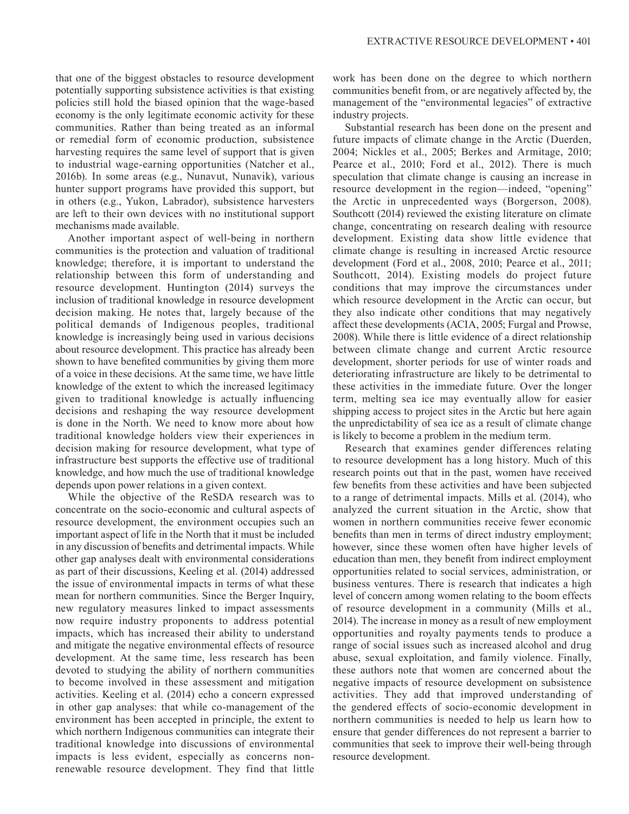that one of the biggest obstacles to resource development potentially supporting subsistence activities is that existing policies still hold the biased opinion that the wage-based economy is the only legitimate economic activity for these communities. Rather than being treated as an informal or remedial form of economic production, subsistence harvesting requires the same level of support that is given to industrial wage-earning opportunities (Natcher et al., 2016b). In some areas (e.g., Nunavut, Nunavik), various hunter support programs have provided this support, but in others (e.g., Yukon, Labrador), subsistence harvesters are left to their own devices with no institutional support mechanisms made available.

Another important aspect of well-being in northern communities is the protection and valuation of traditional knowledge; therefore, it is important to understand the relationship between this form of understanding and resource development. Huntington (2014) surveys the inclusion of traditional knowledge in resource development decision making. He notes that, largely because of the political demands of Indigenous peoples, traditional knowledge is increasingly being used in various decisions about resource development. This practice has already been shown to have benefited communities by giving them more of a voice in these decisions. At the same time, we have little knowledge of the extent to which the increased legitimacy given to traditional knowledge is actually influencing decisions and reshaping the way resource development is done in the North. We need to know more about how traditional knowledge holders view their experiences in decision making for resource development, what type of infrastructure best supports the effective use of traditional knowledge, and how much the use of traditional knowledge depends upon power relations in a given context.

While the objective of the ReSDA research was to concentrate on the socio-economic and cultural aspects of resource development, the environment occupies such an important aspect of life in the North that it must be included in any discussion of benefits and detrimental impacts. While other gap analyses dealt with environmental considerations as part of their discussions, Keeling et al. (2014) addressed the issue of environmental impacts in terms of what these mean for northern communities. Since the Berger Inquiry, new regulatory measures linked to impact assessments now require industry proponents to address potential impacts, which has increased their ability to understand and mitigate the negative environmental effects of resource development. At the same time, less research has been devoted to studying the ability of northern communities to become involved in these assessment and mitigation activities. Keeling et al. (2014) echo a concern expressed in other gap analyses: that while co-management of the environment has been accepted in principle, the extent to which northern Indigenous communities can integrate their traditional knowledge into discussions of environmental impacts is less evident, especially as concerns nonrenewable resource development. They find that little

work has been done on the degree to which northern communities benefit from, or are negatively affected by, the management of the "environmental legacies" of extractive industry projects.

Substantial research has been done on the present and future impacts of climate change in the Arctic (Duerden, 2004; Nickles et al., 2005; Berkes and Armitage, 2010; Pearce et al., 2010; Ford et al., 2012). There is much speculation that climate change is causing an increase in resource development in the region—indeed, "opening" the Arctic in unprecedented ways (Borgerson, 2008). Southcott (2014) reviewed the existing literature on climate change, concentrating on research dealing with resource development. Existing data show little evidence that climate change is resulting in increased Arctic resource development (Ford et al., 2008, 2010; Pearce et al., 2011; Southcott, 2014). Existing models do project future conditions that may improve the circumstances under which resource development in the Arctic can occur, but they also indicate other conditions that may negatively affect these developments (ACIA, 2005; Furgal and Prowse, 2008). While there is little evidence of a direct relationship between climate change and current Arctic resource development, shorter periods for use of winter roads and deteriorating infrastructure are likely to be detrimental to these activities in the immediate future. Over the longer term, melting sea ice may eventually allow for easier shipping access to project sites in the Arctic but here again the unpredictability of sea ice as a result of climate change is likely to become a problem in the medium term.

Research that examines gender differences relating to resource development has a long history. Much of this research points out that in the past, women have received few benefits from these activities and have been subjected to a range of detrimental impacts. Mills et al. (2014), who analyzed the current situation in the Arctic, show that women in northern communities receive fewer economic benefits than men in terms of direct industry employment; however, since these women often have higher levels of education than men, they benefit from indirect employment opportunities related to social services, administration, or business ventures. There is research that indicates a high level of concern among women relating to the boom effects of resource development in a community (Mills et al., 2014). The increase in money as a result of new employment opportunities and royalty payments tends to produce a range of social issues such as increased alcohol and drug abuse, sexual exploitation, and family violence. Finally, these authors note that women are concerned about the negative impacts of resource development on subsistence activities. They add that improved understanding of the gendered effects of socio-economic development in northern communities is needed to help us learn how to ensure that gender differences do not represent a barrier to communities that seek to improve their well-being through resource development.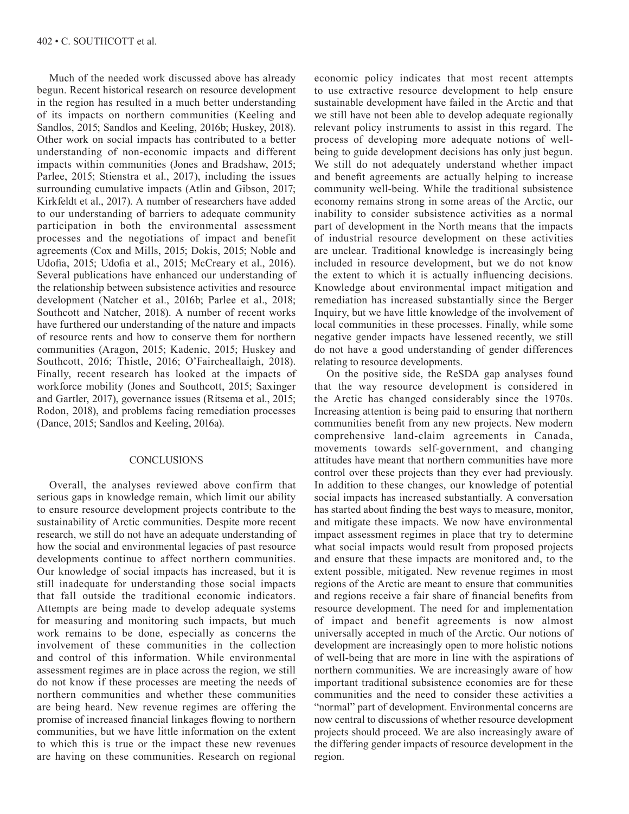Much of the needed work discussed above has already begun. Recent historical research on resource development in the region has resulted in a much better understanding of its impacts on northern communities (Keeling and Sandlos, 2015; Sandlos and Keeling, 2016b; Huskey, 2018). Other work on social impacts has contributed to a better understanding of non-economic impacts and different impacts within communities (Jones and Bradshaw, 2015; Parlee, 2015; Stienstra et al., 2017), including the issues surrounding cumulative impacts (Atlin and Gibson, 2017; Kirkfeldt et al., 2017). A number of researchers have added to our understanding of barriers to adequate community participation in both the environmental assessment processes and the negotiations of impact and benefit agreements (Cox and Mills, 2015; Dokis, 2015; Noble and Udofia, 2015; Udofia et al., 2015; McCreary et al., 2016). Several publications have enhanced our understanding of the relationship between subsistence activities and resource development (Natcher et al., 2016b; Parlee et al., 2018; Southcott and Natcher, 2018). A number of recent works have furthered our understanding of the nature and impacts of resource rents and how to conserve them for northern communities (Aragon, 2015; Kadenic, 2015; Huskey and Southcott, 2016; Thistle, 2016; O'Faircheallaigh, 2018). Finally, recent research has looked at the impacts of workforce mobility (Jones and Southcott, 2015; Saxinger and Gartler, 2017), governance issues (Ritsema et al., 2015; Rodon, 2018), and problems facing remediation processes (Dance, 2015; Sandlos and Keeling, 2016a).

## **CONCLUSIONS**

Overall, the analyses reviewed above confirm that serious gaps in knowledge remain, which limit our ability to ensure resource development projects contribute to the sustainability of Arctic communities. Despite more recent research, we still do not have an adequate understanding of how the social and environmental legacies of past resource developments continue to affect northern communities. Our knowledge of social impacts has increased, but it is still inadequate for understanding those social impacts that fall outside the traditional economic indicators. Attempts are being made to develop adequate systems for measuring and monitoring such impacts, but much work remains to be done, especially as concerns the involvement of these communities in the collection and control of this information. While environmental assessment regimes are in place across the region, we still do not know if these processes are meeting the needs of northern communities and whether these communities are being heard. New revenue regimes are offering the promise of increased financial linkages flowing to northern communities, but we have little information on the extent to which this is true or the impact these new revenues are having on these communities. Research on regional

economic policy indicates that most recent attempts to use extractive resource development to help ensure sustainable development have failed in the Arctic and that we still have not been able to develop adequate regionally relevant policy instruments to assist in this regard. The process of developing more adequate notions of wellbeing to guide development decisions has only just begun. We still do not adequately understand whether impact and benefit agreements are actually helping to increase community well-being. While the traditional subsistence economy remains strong in some areas of the Arctic, our inability to consider subsistence activities as a normal part of development in the North means that the impacts of industrial resource development on these activities are unclear. Traditional knowledge is increasingly being included in resource development, but we do not know the extent to which it is actually influencing decisions. Knowledge about environmental impact mitigation and remediation has increased substantially since the Berger Inquiry, but we have little knowledge of the involvement of local communities in these processes. Finally, while some negative gender impacts have lessened recently, we still do not have a good understanding of gender differences relating to resource developments.

On the positive side, the ReSDA gap analyses found that the way resource development is considered in the Arctic has changed considerably since the 1970s. Increasing attention is being paid to ensuring that northern communities benefit from any new projects. New modern comprehensive land-claim agreements in Canada, movements towards self-government, and changing attitudes have meant that northern communities have more control over these projects than they ever had previously. In addition to these changes, our knowledge of potential social impacts has increased substantially. A conversation has started about finding the best ways to measure, monitor, and mitigate these impacts. We now have environmental impact assessment regimes in place that try to determine what social impacts would result from proposed projects and ensure that these impacts are monitored and, to the extent possible, mitigated. New revenue regimes in most regions of the Arctic are meant to ensure that communities and regions receive a fair share of financial benefits from resource development. The need for and implementation of impact and benefit agreements is now almost universally accepted in much of the Arctic. Our notions of development are increasingly open to more holistic notions of well-being that are more in line with the aspirations of northern communities. We are increasingly aware of how important traditional subsistence economies are for these communities and the need to consider these activities a "normal" part of development. Environmental concerns are now central to discussions of whether resource development projects should proceed. We are also increasingly aware of the differing gender impacts of resource development in the region.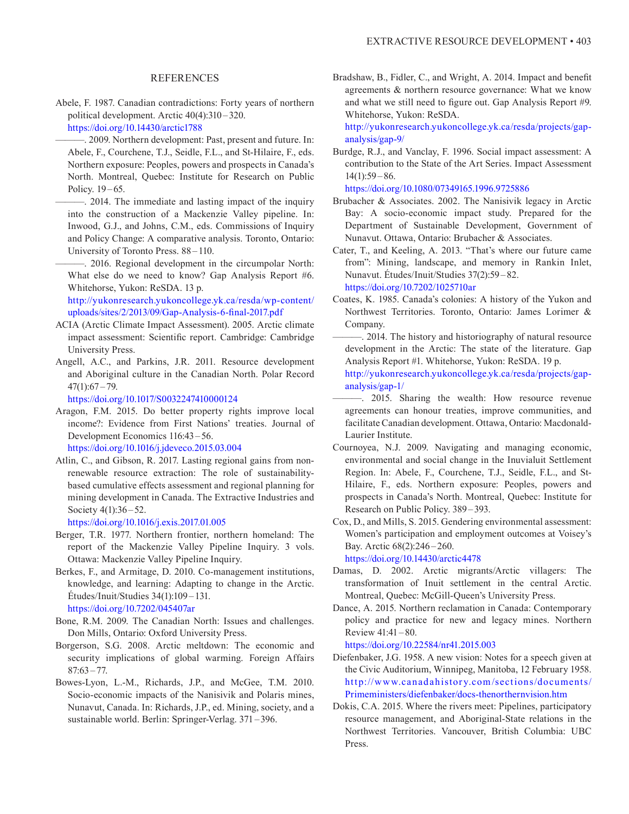### REFERENCES

Abele, F. 1987. Canadian contradictions: Forty years of northern political development. Arctic 40(4):310 –320. h<ttps://doi.org/10.14430/arctic1788>

———. 2009. Northern development: Past, present and future. In: Abele, F., Courchene, T.J., Seidle, F.L., and St-Hilaire, F., eds. Northern exposure: Peoples, powers and prospects in Canada's North. Montreal, Quebec: Institute for Research on Public Policy. 19-65.

———. 2014. The immediate and lasting impact of the inquiry into the construction of a Mackenzie Valley pipeline. In: Inwood, G.J., and Johns, C.M., eds. Commissions of Inquiry and Policy Change: A comparative analysis. Toronto, Ontario: University of Toronto Press. 88 – 110.

———. 2016. Regional development in the circumpolar North: What else do we need to know? Gap Analysis Report #6. Whitehorse, Yukon: ReSDA. 13 p.

 [http://yukonresearch.yukoncollege.yk.ca/resda/wp-content/](http://yukonresearch.yukoncollege.yk.ca/resda/wp-content/uploads/sites/2/2013/09/Gap-Analysis-6-final-2017.pdf) [uploads/sites/2/2013/09/Gap-Analysis-6-final-2017.pdf](http://yukonresearch.yukoncollege.yk.ca/resda/wp-content/uploads/sites/2/2013/09/Gap-Analysis-6-final-2017.pdf)

- ACIA (Arctic Climate Impact Assessment). 2005. Arctic climate impact assessment: Scientific report. Cambridge: Cambridge University Press.
- Angell, A.C., and Parkins, J.R. 2011. Resource development and Aboriginal culture in the Canadian North. Polar Record  $47(1):67 - 79.$

h<ttps://doi.org/10.1017/S0032247410000124>

Aragon, F.M. 2015. Do better property rights improve local income?: Evidence from First Nations' treaties. Journal of Development Economics 116:43-56.

h<ttps://doi.org/10.1016/j.jdeveco.2015.03.004>

Atlin, C., and Gibson, R. 2017. Lasting regional gains from nonrenewable resource extraction: The role of sustainabilitybased cumulative effects assessment and regional planning for mining development in Canada. The Extractive Industries and Society 4(1):36–52.

h<ttps://doi.org/10.1016/j.exis.2017.01.005>

- Berger, T.R. 1977. Northern frontier, northern homeland: The report of the Mackenzie Valley Pipeline Inquiry. 3 vols. Ottawa: Mackenzie Valley Pipeline Inquiry.
- Berkes, F., and Armitage, D. 2010. Co-management institutions, knowledge, and learning: Adapting to change in the Arctic. Études/Inuit/Studies 34(1):109 – 131. h<ttps://doi.org/10.7202/045407ar>
- Bone, R.M. 2009. The Canadian North: Issues and challenges. Don Mills, Ontario: Oxford University Press.
- Borgerson, S.G. 2008. Arctic meltdown: The economic and security implications of global warming. Foreign Affairs  $87:63 - 77$ .
- Bowes-Lyon, L.-M., Richards, J.P., and McGee, T.M. 2010. Socio-economic impacts of the Nanisivik and Polaris mines, Nunavut, Canada. In: Richards, J.P., ed. Mining, society, and a sustainable world. Berlin: Springer-Verlag. 371 –396.

Bradshaw, B., Fidler, C., and Wright, A. 2014. Impact and benefit agreements & northern resource governance: What we know and what we still need to figure out. Gap Analysis Report #9. Whitehorse, Yukon: ReSDA.

 [http://yukonresearch.yukoncollege.yk.ca/resda/projects/gap](http://yukonresearch.yukoncollege.yk.ca/resda/projects/gap-analysis/gap-9/)[analysis/gap-9/](http://yukonresearch.yukoncollege.yk.ca/resda/projects/gap-analysis/gap-9/)

Burdge, R.J., and Vanclay, F. 1996. Social impact assessment: A contribution to the State of the Art Series. Impact Assessment  $14(1):59 - 86.$ 

<https://doi.org/10.1080/07349165.1996.9725886>

- Brubacher & Associates. 2002. The Nanisivik legacy in Arctic Bay: A socio-economic impact study. Prepared for the Department of Sustainable Development, Government of Nunavut. Ottawa, Ontario: Brubacher & Associates.
- Cater, T., and Keeling, A. 2013. "That's where our future came from": Mining, landscape, and memory in Rankin Inlet, Nunavut. Études/Inuit/Studies 37(2):59 – 82. h<ttps://doi.org/10.7202/1025710ar>
- Coates, K. 1985. Canada's colonies: A history of the Yukon and Northwest Territories. Toronto, Ontario: James Lorimer & Company.

-. 2014. The history and historiography of natural resource development in the Arctic: The state of the literature. Gap Analysis Report #1. Whitehorse, Yukon: ReSDA. 19 p.

 [http://yukonresearch.yukoncollege.yk.ca/resda/projects/gap](http://yukonresearch.yukoncollege.yk.ca/resda/projects/gap-analysis/gap-1/)[analysis/gap-1/](http://yukonresearch.yukoncollege.yk.ca/resda/projects/gap-analysis/gap-1/)

- ———. 2015. Sharing the wealth: How resource revenue agreements can honour treaties, improve communities, and facilitate Canadian development. Ottawa, Ontario: Macdonald-Laurier Institute.
- Cournoyea, N.J. 2009. Navigating and managing economic, environmental and social change in the Inuvialuit Settlement Region. In: Abele, F., Courchene, T.J., Seidle, F.L., and St-Hilaire, F., eds. Northern exposure: Peoples, powers and prospects in Canada's North. Montreal, Quebec: Institute for Research on Public Policy. 389-393.
- Cox, D., and Mills, S. 2015. Gendering environmental assessment: Women's participation and employment outcomes at Voisey's Bay. Arctic 68(2):246– 260.

h<ttps://doi.org/10.14430/arctic4478>

- Damas, D. 2002. Arctic migrants/Arctic villagers: The transformation of Inuit settlement in the central Arctic. Montreal, Quebec: McGill-Queen's University Press.
- Dance, A. 2015. Northern reclamation in Canada: Contemporary policy and practice for new and legacy mines. Northern Review 41:41–80.

h<ttps://doi.org/10.22584/nr41.2015.003>

- Diefenbaker, J.G. 1958. A new vision: Notes for a speech given at the Civic Auditorium, Winnipeg, Manitoba, 12 February 1958. [http://www.canadahistory.com/sections/documents/](http://www.canadahistory.com/sections/documents/Primeministers/diefenbaker/docs-thenorthernvision.htm) [Primeministers/diefenbaker/docs-thenorthernvision.htm](http://www.canadahistory.com/sections/documents/Primeministers/diefenbaker/docs-thenorthernvision.htm)
- Dokis, C.A. 2015. Where the rivers meet: Pipelines, participatory resource management, and Aboriginal-State relations in the Northwest Territories. Vancouver, British Columbia: UBC Press.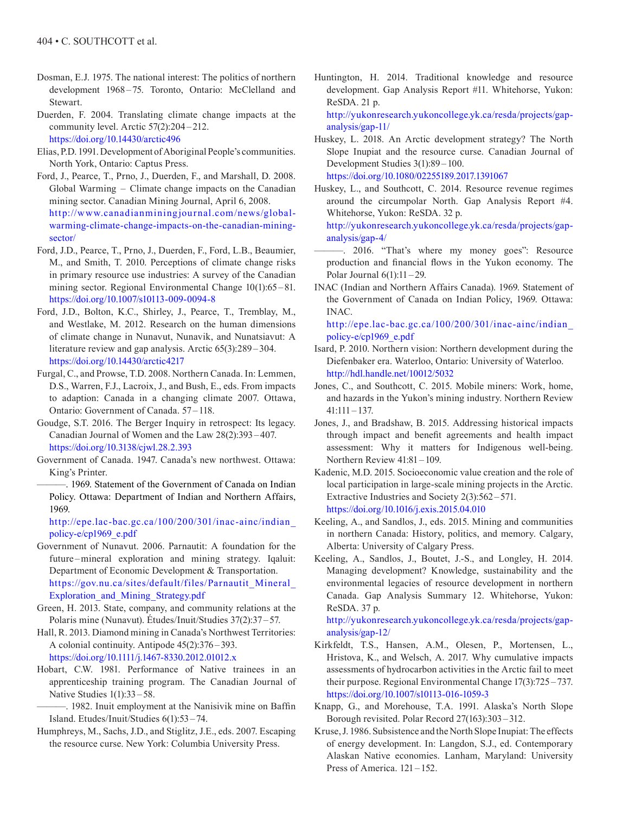- Dosman, E.J. 1975. The national interest: The politics of northern development 1968 –75. Toronto, Ontario: McClelland and Stewart.
- Duerden, F. 2004. Translating climate change impacts at the community level. Arctic 57(2):204 –212. h<ttps://doi.org/10.14430/arctic496>
- Elias, P.D. 1991. Development of Aboriginal People's communities. North York, Ontario: Captus Press.
- Ford, J., Pearce, T., Prno, J., Duerden, F., and Marshall, D. 2008. Global Warming – Climate change impacts on the Canadian mining sector. Canadian Mining Journal, April 6, 2008. [http://www.canadianminingjournal.com/news/global](http://www.canadianminingjournal.com/news/global-warming-climate-change-impacts-on-the-canadian-mining-sector/)[warming-climate-change-impacts-on-the-canadian-mining](http://www.canadianminingjournal.com/news/global-warming-climate-change-impacts-on-the-canadian-mining-sector/)[sector/](http://www.canadianminingjournal.com/news/global-warming-climate-change-impacts-on-the-canadian-mining-sector/)
- Ford, J.D., Pearce, T., Prno, J., Duerden, F., Ford, L.B., Beaumier, M., and Smith, T. 2010. Perceptions of climate change risks in primary resource use industries: A survey of the Canadian mining sector. Regional Environmental Change 10(1):65 – 81. <https://doi.org/10.1007/s10113-009-0094-8>
- Ford, J.D., Bolton, K.C., Shirley, J., Pearce, T., Tremblay, M., and Westlake, M. 2012. Research on the human dimensions of climate change in Nunavut, Nunavik, and Nunatsiavut: A literature review and gap analysis. Arctic 65(3):289-304. h<ttps://doi.org/10.14430/arctic4217>
- Furgal, C., and Prowse, T.D. 2008. Northern Canada. In: Lemmen, D.S., Warren, F.J., Lacroix, J., and Bush, E., eds. From impacts to adaption: Canada in a changing climate 2007. Ottawa, Ontario: Government of Canada. 57-118.
- Goudge, S.T. 2016. The Berger Inquiry in retrospect: Its legacy. Canadian Journal of Women and the Law 28(2):393 – 407. h<ttps://doi.org/10.3138/cjwl.28.2.393>
- Government of Canada. 1947. Canada's new northwest. Ottawa: King's Printer.
	- ———. 1969. Statement of the Government of Canada on Indian Policy. Ottawa: Department of Indian and Northern Affairs, 1969.

 [http://epe.lac-bac.gc.ca/100/200/301/inac-ainc/indian\\_](http://epe.lac-bac.gc.ca/100/200/301/inac-ainc/indian_policy-e/cp1969_e.pdf) [policy-e/cp1969\\_e.pdf](http://epe.lac-bac.gc.ca/100/200/301/inac-ainc/indian_policy-e/cp1969_e.pdf)

- Government of Nunavut. 2006. Parnautit: A foundation for the future-mineral exploration and mining strategy. Iqaluit: Department of Economic Development & Transportation. [https://gov.nu.ca/sites/default/files/Parnautit\\_Mineral\\_](https://gov.nu.ca/sites/default/files/Parnautit_Mineral_Exploration_and_Mining_Strategy.pdf) [Exploration\\_and\\_Mining\\_Strategy.pdf](https://gov.nu.ca/sites/default/files/Parnautit_Mineral_Exploration_and_Mining_Strategy.pdf)
- Green, H. 2013. State, company, and community relations at the Polaris mine (Nunavut). Études/Inuit/Studies 37(2):37 –57.
- Hall, R. 2013. Diamond mining in Canada's Northwest Territories: A colonial continuity. Antipode 45(2):376 –393. h<ttps://doi.org/10.1111/j.1467-8330.2012.01012.x>
- Hobart, C.W. 1981. Performance of Native trainees in an apprenticeship training program. The Canadian Journal of Native Studies 1(1):33 – 58.
	- ———. 1982. Inuit employment at the Nanisivik mine on Baffin Island. Etudes/Inuit/Studies 6(1):53 –74.
- Humphreys, M., Sachs, J.D., and Stiglitz, J.E., eds. 2007. Escaping the resource curse. New York: Columbia University Press.

Huntington, H. 2014. Traditional knowledge and resource development. Gap Analysis Report #11. Whitehorse, Yukon: ReSDA. 21 p.

 [http://yukonresearch.yukoncollege.yk.ca/resda/projects/gap](http://yukonresearch.yukoncollege.yk.ca/resda/projects/gap-analysis/gap-11/)[analysis/gap-11/](http://yukonresearch.yukoncollege.yk.ca/resda/projects/gap-analysis/gap-11/)

- Huskey, L. 2018. An Arctic development strategy? The North Slope Inupiat and the resource curse. Canadian Journal of Development Studies 3(1):89– 100. <https://doi.org/10.1080/02255189.2017.1391067>
- Huskey, L., and Southcott, C. 2014. Resource revenue regimes around the circumpolar North. Gap Analysis Report #4. Whitehorse, Yukon: ReSDA. 32 p.

 [http://yukonresearch.yukoncollege.yk.ca/resda/projects/gap](http://yukonresearch.yukoncollege.yk.ca/resda/projects/gap-analysis/gap-4/)[analysis/gap-4/](http://yukonresearch.yukoncollege.yk.ca/resda/projects/gap-analysis/gap-4/) 

- ———. 2016. "That's where my money goes": Resource production and financial flows in the Yukon economy. The Polar Journal 6(1):11 –29.
- INAC (Indian and Northern Affairs Canada). 1969. Statement of the Government of Canada on Indian Policy, 1969. Ottawa: INAC.

[http://epe.lac-bac.gc.ca/100/200/301/inac-ainc/indian\\_](http://epe.lac-bac.gc.ca/100/200/301/inac-ainc/indian_policy-e/cp1969_e.pdf) [policy-e/cp1969\\_e.pdf](http://epe.lac-bac.gc.ca/100/200/301/inac-ainc/indian_policy-e/cp1969_e.pdf)

- Isard, P. 2010. Northern vision: Northern development during the Diefenbaker era. Waterloo, Ontario: University of Waterloo. h<ttp://hdl.handle.net/10012/5032>
- Jones, C., and Southcott, C. 2015. Mobile miners: Work, home, and hazards in the Yukon's mining industry. Northern Review 41:111 –137.
- Jones, J., and Bradshaw, B. 2015. Addressing historical impacts through impact and benefit agreements and health impact assessment: Why it matters for Indigenous well-being. Northern Review 41:81 – 109.
- Kadenic, M.D. 2015. Socioeconomic value creation and the role of local participation in large-scale mining projects in the Arctic. Extractive Industries and Society 2(3):562 – 571. h<ttps://doi.org/10.1016/j.exis.2015.04.010>
- Keeling, A., and Sandlos, J., eds. 2015. Mining and communities in northern Canada: History, politics, and memory. Calgary, Alberta: University of Calgary Press.
- Keeling, A., Sandlos, J., Boutet, J.-S., and Longley, H. 2014. Managing development? Knowledge, sustainability and the environmental legacies of resource development in northern Canada. Gap Analysis Summary 12. Whitehorse, Yukon: ReSDA. 37 p.

 [http://yukonresearch.yukoncollege.yk.ca/resda/projects/gap](http://yukonresearch.yukoncollege.yk.ca/resda/projects/gap-analysis/gap-12/)[analysis/gap-12/](http://yukonresearch.yukoncollege.yk.ca/resda/projects/gap-analysis/gap-12/)

- Kirkfeldt, T.S., Hansen, A.M., Olesen, P., Mortensen, L., Hristova, K., and Welsch, A. 2017. Why cumulative impacts assessments of hydrocarbon activities in the Arctic fail to meet their purpose. Regional Environmental Change 17(3):725 –737. h<ttps://doi.org/10.1007/s10113-016-1059-3>
- Knapp, G., and Morehouse, T.A. 1991. Alaska's North Slope Borough revisited. Polar Record 27(163):303 –312.
- Kruse, J. 1986. Subsistence and the North Slope Inupiat: The effects of energy development. In: Langdon, S.J., ed. Contemporary Alaskan Native economies. Lanham, Maryland: University Press of America.  $121 - 152$ .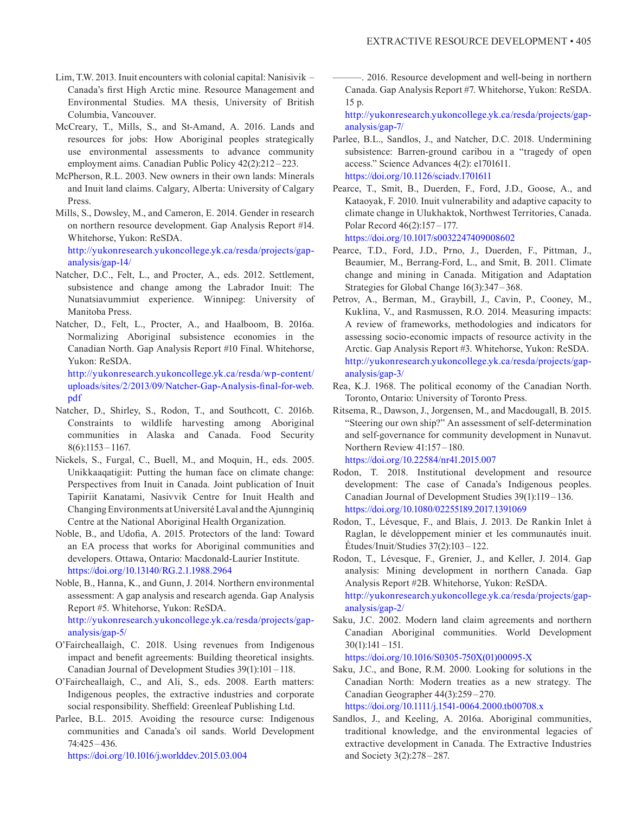- Lim, T.W. 2013. Inuit encounters with colonial capital: Nanisivik Canada's first High Arctic mine. Resource Management and Environmental Studies. MA thesis, University of British Columbia, Vancouver.
- McCreary, T., Mills, S., and St-Amand, A. 2016. Lands and resources for jobs: How Aboriginal peoples strategically use environmental assessments to advance community employment aims. Canadian Public Policy 42(2):212 –223.
- McPherson, R.L. 2003. New owners in their own lands: Minerals and Inuit land claims. Calgary, Alberta: University of Calgary Press.
- Mills, S., Dowsley, M., and Cameron, E. 2014. Gender in research on northern resource development. Gap Analysis Report #14. Whitehorse, Yukon: ReSDA. [http://yukonresearch.yukoncollege.yk.ca/resda/projects/gap-](http://yukonresearch.yukoncollege.yk.ca/resda/projects/gap-analysis/gap-14/)

[analysis/gap-14/](http://yukonresearch.yukoncollege.yk.ca/resda/projects/gap-analysis/gap-14/)

- Natcher, D.C., Felt, L., and Procter, A., eds. 2012. Settlement, subsistence and change among the Labrador Inuit: The Nunatsiavummiut experience. Winnipeg: University of Manitoba Press.
- Natcher, D., Felt, L., Procter, A., and Haalboom, B. 2016a. Normalizing Aboriginal subsistence economies in the Canadian North. Gap Analysis Report #10 Final. Whitehorse, Yukon: ReSDA.

 [http://yukonresearch.yukoncollege.yk.ca/resda/wp-content/](http://yukonresearch.yukoncollege.yk.ca/resda/wp-content/uploads/sites/2/2013/09/Natcher-Gap-Analysis-final-for-web.pdf) [uploads/sites/2/2013/09/Natcher-Gap-Analysis-final-for-web.](http://yukonresearch.yukoncollege.yk.ca/resda/wp-content/uploads/sites/2/2013/09/Natcher-Gap-Analysis-final-for-web.pdf) [pdf](http://yukonresearch.yukoncollege.yk.ca/resda/wp-content/uploads/sites/2/2013/09/Natcher-Gap-Analysis-final-for-web.pdf)

- Natcher, D., Shirley, S., Rodon, T., and Southcott, C. 2016b. Constraints to wildlife harvesting among Aboriginal communities in Alaska and Canada. Food Security  $8(6):1153 - 1167.$
- Nickels, S., Furgal, C., Buell, M., and Moquin, H., eds. 2005. Unikkaaqatigiit: Putting the human face on climate change: Perspectives from Inuit in Canada. Joint publication of Inuit Tapiriit Kanatami, Nasivvik Centre for Inuit Health and Changing Environments at Université Laval and the Ajunnginiq Centre at the National Aboriginal Health Organization.
- Noble, B., and Udofia, A. 2015. Protectors of the land: Toward an EA process that works for Aboriginal communities and developers. Ottawa, Ontario: Macdonald-Laurier Institute. h<ttps://doi.org/10.13140/RG.2.1.1988.2964>
- Noble, B., Hanna, K., and Gunn, J. 2014. Northern environmental assessment: A gap analysis and research agenda. Gap Analysis Report #5. Whitehorse, Yukon: ReSDA. [http://yukonresearch.yukoncollege.yk.ca/resda/projects/gap](http://yukonresearch.yukoncollege.yk.ca/resda/projects/gap-analysis/gap-5/)[analysis/gap-5/](http://yukonresearch.yukoncollege.yk.ca/resda/projects/gap-analysis/gap-5/)
- O'Faircheallaigh, C. 2018. Using revenues from Indigenous impact and benefit agreements: Building theoretical insights. Canadian Journal of Development Studies 39(1):101 –118.
- O'Faircheallaigh, C., and Ali, S., eds. 2008. Earth matters: Indigenous peoples, the extractive industries and corporate social responsibility. Sheffield: Greenleaf Publishing Ltd.
- Parlee, B.L. 2015. Avoiding the resource curse: Indigenous communities and Canada's oil sands. World Development 74:425– 436.

h<ttps://doi.org/10.1016/j.worlddev.2015.03.004>

———. 2016. Resource development and well-being in northern Canada. Gap Analysis Report #7. Whitehorse, Yukon: ReSDA. 15 p.

 [http://yukonresearch.yukoncollege.yk.ca/resda/projects/gap](http://yukonresearch.yukoncollege.yk.ca/resda/projects/gap-analysis/gap-7/)[analysis/gap-7/](http://yukonresearch.yukoncollege.yk.ca/resda/projects/gap-analysis/gap-7/)

- Parlee, B.L., Sandlos, J., and Natcher, D.C. 2018. Undermining subsistence: Barren-ground caribou in a "tragedy of open access." Science Advances 4(2): e1701611. h<ttps://doi.org/10.1126/sciadv.1701611>
- Pearce, T., Smit, B., Duerden, F., Ford, J.D., Goose, A., and Kataoyak, F. 2010. Inuit vulnerability and adaptive capacity to climate change in Ulukhaktok, Northwest Territories, Canada. Polar Record 46(2):157 –177. h<ttps://doi.org/10.1017/s0032247409008602>

Pearce, T.D., Ford, J.D., Prno, J., Duerden, F., Pittman, J., Beaumier, M., Berrang-Ford, L., and Smit, B. 2011. Climate change and mining in Canada. Mitigation and Adaptation Strategies for Global Change 16(3):347 – 368.

- Petrov, A., Berman, M., Graybill, J., Cavin, P., Cooney, M., Kuklina, V., and Rasmussen, R.O. 2014. Measuring impacts: A review of frameworks, methodologies and indicators for assessing socio-economic impacts of resource activity in the Arctic. Gap Analysis Report #3. Whitehorse, Yukon: ReSDA. [http://yukonresearch.yukoncollege.yk.ca/resda/projects/gap](http://yukonresearch.yukoncollege.yk.ca/resda/projects/gap-analysis/gap-3/)[analysis/gap-3/](http://yukonresearch.yukoncollege.yk.ca/resda/projects/gap-analysis/gap-3/)
- Rea, K.J. 1968. The political economy of the Canadian North. Toronto, Ontario: University of Toronto Press.
- Ritsema, R., Dawson, J., Jorgensen, M., and Macdougall, B. 2015. "Steering our own ship?" An assessment of self-determination and self-governance for community development in Nunavut. Northern Review 41:157 - 180.

h<ttps://doi.org/10.22584/nr41.2015.007>

- Rodon, T. 2018. Institutional development and resource development: The case of Canada's Indigenous peoples. Canadian Journal of Development Studies 39(1):119 –136. h<ttps://doi.org/10.1080/02255189.2017.1391069>
- Rodon, T., Lévesque, F., and Blais, J. 2013. De Rankin Inlet à Raglan, le développement minier et les communautés inuit. Études/Inuit/Studies 37(2):103 –122.
- Rodon, T., Lévesque, F., Grenier, J., and Keller, J. 2014. Gap analysis: Mining development in northern Canada. Gap Analysis Report #2B. Whitehorse, Yukon: ReSDA. [http://yukonresearch.yukoncollege.yk.ca/resda/projects/gap-](http://yukonresearch.yukoncollege.yk.ca/resda/projects/gap-analysis/gap-2/)

[analysis/gap-2/](http://yukonresearch.yukoncollege.yk.ca/resda/projects/gap-analysis/gap-2/)

Saku, J.C. 2002. Modern land claim agreements and northern Canadian Aboriginal communities. World Development  $30(1):141 - 151.$ 

h[ttps://doi.org/10.1016/S0305-750X\(01\)](ttps://doi.org/10.1016/S0305-750X)00095-X

Saku, J.C., and Bone, R.M. 2000. Looking for solutions in the Canadian North: Modern treaties as a new strategy. The Canadian Geographer 44(3):259– 270.

h<ttps://doi.org/10.1111/j.1541-0064.2000.tb00708.x>

Sandlos, J., and Keeling, A. 2016a. Aboriginal communities, traditional knowledge, and the environmental legacies of extractive development in Canada. The Extractive Industries and Society 3(2):278 –287.